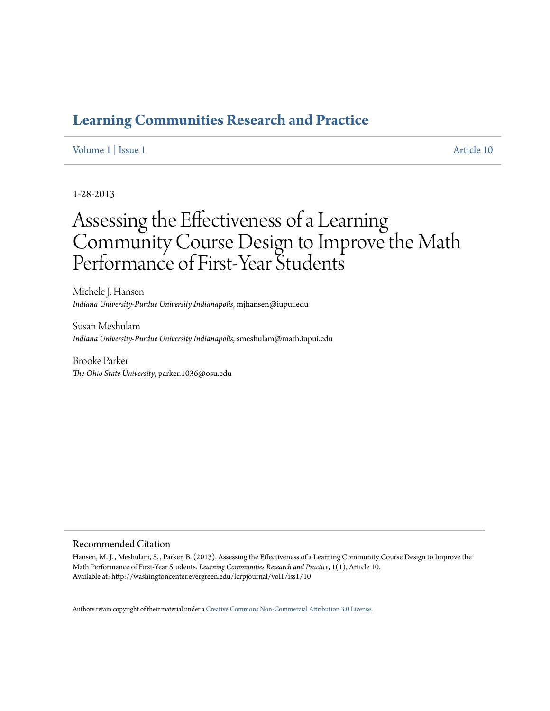## **[Learning Communities Research and Practice](http://washingtoncenter.evergreen.edu/lcrpjournal)**

### [Volume 1](http://washingtoncenter.evergreen.edu/lcrpjournal/vol1) | [Issue 1](http://washingtoncenter.evergreen.edu/lcrpjournal/vol1/iss1) [Article 10](http://washingtoncenter.evergreen.edu/lcrpjournal/vol1/iss1/10)

### 1-28-2013

# Assessing the Effectiveness of a Learning Community Course Design to Improve the Math Performance of First-Year Students

Michele J. Hansen *Indiana University-Purdue University Indianapolis*, mjhansen@iupui.edu

Susan Meshulam *Indiana University-Purdue University Indianapolis*, smeshulam@math.iupui.edu

Brooke Parker *The Ohio State University*, parker.1036@osu.edu

#### Recommended Citation

Hansen, M. J. , Meshulam, S. , Parker, B. (2013). Assessing the Effectiveness of a Learning Community Course Design to Improve the Math Performance of First-Year Students. *Learning Communities Research and Practice*, 1(1), Article 10. Available at: http://washingtoncenter.evergreen.edu/lcrpjournal/vol1/iss1/10

Authors retain copyright of their material under a [Creative Commons Non-Commercial Attribution 3.0 License.](http://creativecommons.org/licenses/by-nc/3.0/)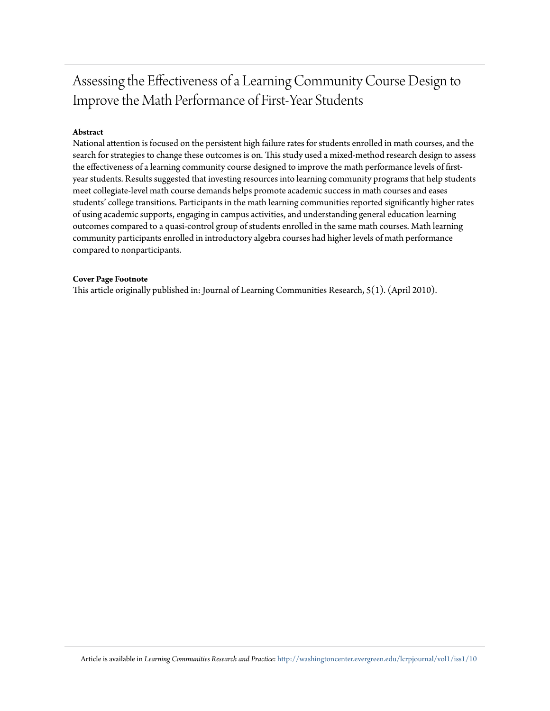# Assessing the Effectiveness of a Learning Community Course Design to Improve the Math Performance of First-Year Students

### **Abstract**

National attention is focused on the persistent high failure rates for students enrolled in math courses, and the search for strategies to change these outcomes is on. This study used a mixed-method research design to assess the effectiveness of a learning community course designed to improve the math performance levels of firstyear students. Results suggested that investing resources into learning community programs that help students meet collegiate-level math course demands helps promote academic success in math courses and eases students' college transitions. Participants in the math learning communities reported significantly higher rates of using academic supports, engaging in campus activities, and understanding general education learning outcomes compared to a quasi-control group of students enrolled in the same math courses. Math learning community participants enrolled in introductory algebra courses had higher levels of math performance compared to nonparticipants.

#### **Cover Page Footnote**

This article originally published in: Journal of Learning Communities Research, 5(1). (April 2010).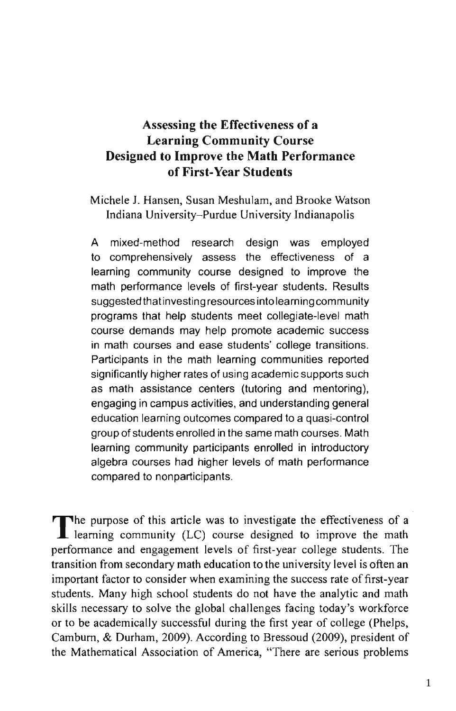### Assessing the Effectiveness of a **Learning Community Course** Designed to Improve the Math Performance of First-Year Students

Michele J. Hansen, Susan Meshulam, and Brooke Watson Indiana University-Purdue University Indianapolis

A mixed-method research design was employed to comprehensively assess the effectiveness of a learning community course designed to improve the math performance levels of first-year students. Results suggested that investing resources into learning community programs that help students meet collegiate-level math course demands may help promote academic success in math courses and ease students' college transitions. Participants in the math learning communities reported significantly higher rates of using academic supports such as math assistance centers (tutoring and mentoring), engaging in campus activities, and understanding general education learning outcomes compared to a quasi-control group of students enrolled in the same math courses. Math learning community participants enrolled in introductory algebra courses had higher levels of math performance compared to nonparticipants.

The purpose of this article was to investigate the effectiveness of a L learning community (LC) course designed to improve the math performance and engagement levels of first-year college students. The transition from secondary math education to the university level is often an important factor to consider when examining the success rate of first-year students. Many high school students do not have the analytic and math skills necessary to solve the global challenges facing today's workforce or to be academically successful during the first year of college (Phelps, Camburn, & Durham, 2009). According to Bressoud (2009), president of the Mathematical Association of America, "There are serious problems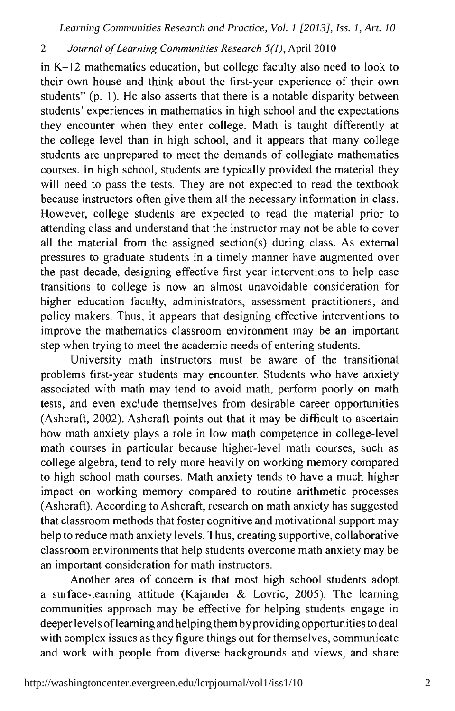#### $\overline{c}$ Journal of Learning Communities Research 5(1), April 2010

in K-12 mathematics education, but college faculty also need to look to their own house and think about the first-year experience of their own students" (p. 1). He also asserts that there is a notable disparity between students' experiences in mathematics in high school and the expectations they encounter when they enter college. Math is taught differently at the college level than in high school, and it appears that many college students are unprepared to meet the demands of collegiate mathematics courses. In high school, students are typically provided the material they will need to pass the tests. They are not expected to read the textbook because instructors often give them all the necessary information in class. However, college students are expected to read the material prior to attending class and understand that the instructor may not be able to cover all the material from the assigned section(s) during class. As external pressures to graduate students in a timely manner have augmented over the past decade, designing effective first-year interventions to help ease transitions to college is now an almost unavoidable consideration for higher education faculty, administrators, assessment practitioners, and policy makers. Thus, it appears that designing effective interventions to improve the mathematics classroom environment may be an important step when trying to meet the academic needs of entering students.

University math instructors must be aware of the transitional problems first-year students may encounter. Students who have anxiety associated with math may tend to avoid math, perform poorly on math tests, and even exclude themselves from desirable career opportunities (Ashcraft, 2002). Ashcraft points out that it may be difficult to ascertain how math anxiety plays a role in low math competence in college-level math courses in particular because higher-level math courses, such as college algebra, tend to rely more heavily on working memory compared to high school math courses. Math anxiety tends to have a much higher impact on working memory compared to routine arithmetic processes (Ashcraft). According to Ashcraft, research on math anxiety has suggested that classroom methods that foster cognitive and motivational support may help to reduce math anxiety levels. Thus, creating supportive, collaborative classroom environments that help students overcome math anxiety may be an important consideration for math instructors.

Another area of concern is that most high school students adopt a surface-learning attitude (Kajander & Lovric, 2005). The learning communities approach may be effective for helping students engage in deeper levels of learning and helping them by providing opportunities to deal with complex issues as they figure things out for themselves, communicate and work with people from diverse backgrounds and views, and share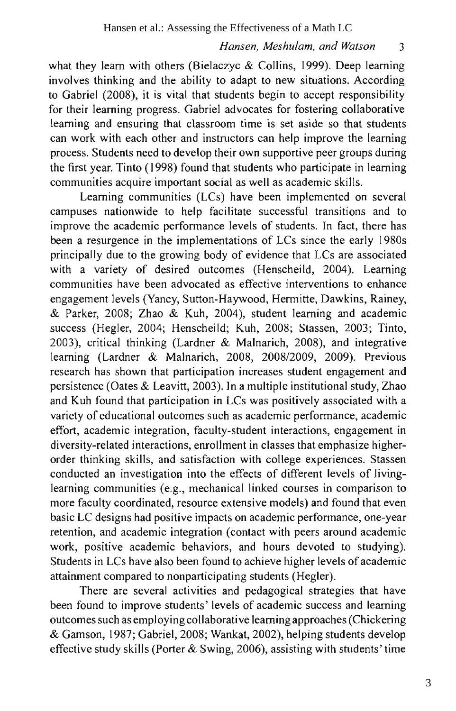3

what they learn with others (Bielaczyc & Collins, 1999). Deep learning involves thinking and the ability to adapt to new situations. According to Gabriel (2008), it is vital that students begin to accept responsibility for their learning progress. Gabriel advocates for fostering collaborative learning and ensuring that classroom time is set aside so that students can work with each other and instructors can help improve the learning process. Students need to develop their own supportive peer groups during the first year. Tinto (1998) found that students who participate in learning communities acquire important social as well as academic skills.

Learning communities (LCs) have been implemented on several campuses nationwide to help facilitate successful transitions and to improve the academic performance levels of students. In fact, there has been a resurgence in the implementations of LCs since the early 1980s principally due to the growing body of evidence that LCs are associated with a variety of desired outcomes (Henscheild, 2004). Learning communities have been advocated as effective interventions to enhance engagement levels (Yancy, Sutton-Haywood, Hermitte, Dawkins, Rainey, & Parker, 2008; Zhao & Kuh, 2004), student learning and academic success (Hegler, 2004; Henscheild; Kuh, 2008; Stassen, 2003; Tinto, 2003), critical thinking (Lardner & Malnarich, 2008), and integrative learning (Lardner & Malnarich, 2008, 2008/2009, 2009). Previous research has shown that participation increases student engagement and persistence (Oates & Leavitt, 2003). In a multiple institutional study, Zhao and Kuh found that participation in LCs was positively associated with a variety of educational outcomes such as academic performance, academic effort, academic integration, faculty-student interactions, engagement in diversity-related interactions, enrollment in classes that emphasize higherorder thinking skills, and satisfaction with college experiences. Stassen conducted an investigation into the effects of different levels of livinglearning communities (e.g., mechanical linked courses in comparison to more faculty coordinated, resource extensive models) and found that even basic LC designs had positive impacts on academic performance, one-year retention, and academic integration (contact with peers around academic work, positive academic behaviors, and hours devoted to studying). Students in LCs have also been found to achieve higher levels of academic attainment compared to nonparticipating students (Hegler).

There are several activities and pedagogical strategies that have been found to improve students' levels of academic success and learning outcomes such as employing collaborative learning approaches (Chickering & Gamson, 1987; Gabriel, 2008; Wankat, 2002), helping students develop effective study skills (Porter & Swing, 2006), assisting with students' time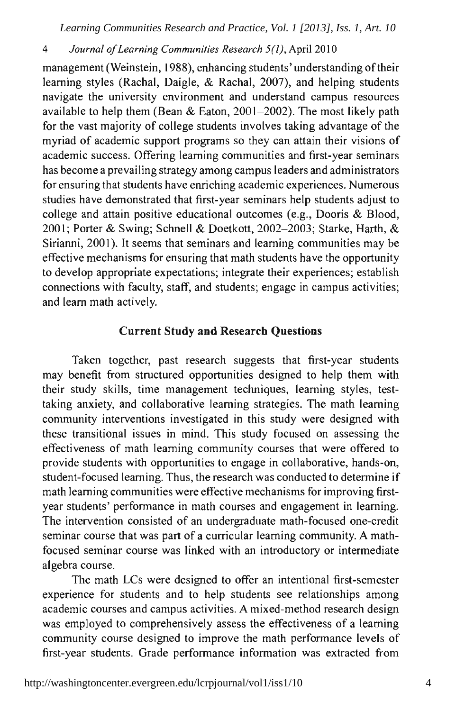#### $\overline{4}$ Journal of Learning Communities Research 5(1), April 2010

management (Weinstein, 1988), enhancing students' understanding of their learning styles (Rachal, Daigle, & Rachal, 2007), and helping students navigate the university environment and understand campus resources available to help them (Bean & Eaton, 2001–2002). The most likely path for the vast majority of college students involves taking advantage of the myriad of academic support programs so they can attain their visions of academic success. Offering learning communities and first-year seminars has become a prevailing strategy among campus leaders and administrators for ensuring that students have enriching academic experiences. Numerous studies have demonstrated that first-year seminars help students adjust to college and attain positive educational outcomes (e.g., Dooris & Blood, 2001; Porter & Swing; Schnell & Doetkott, 2002-2003; Starke, Harth, & Sirianni, 2001). It seems that seminars and learning communities may be effective mechanisms for ensuring that math students have the opportunity to develop appropriate expectations; integrate their experiences; establish connections with faculty, staff, and students; engage in campus activities; and learn math actively.

#### **Current Study and Research Questions**

Taken together, past research suggests that first-year students may benefit from structured opportunities designed to help them with their study skills, time management techniques, learning styles, testtaking anxiety, and collaborative learning strategies. The math learning community interventions investigated in this study were designed with these transitional issues in mind. This study focused on assessing the effectiveness of math learning community courses that were offered to provide students with opportunities to engage in collaborative, hands-on, student-focused learning. Thus, the research was conducted to determine if math learning communities were effective mechanisms for improving firstyear students' performance in math courses and engagement in learning. The intervention consisted of an undergraduate math-focused one-credit seminar course that was part of a curricular learning community. A mathfocused seminar course was linked with an introductory or intermediate algebra course.

The math LCs were designed to offer an intentional first-semester experience for students and to help students see relationships among academic courses and campus activities. A mixed-method research design was employed to comprehensively assess the effectiveness of a learning community course designed to improve the math performance levels of first-year students. Grade performance information was extracted from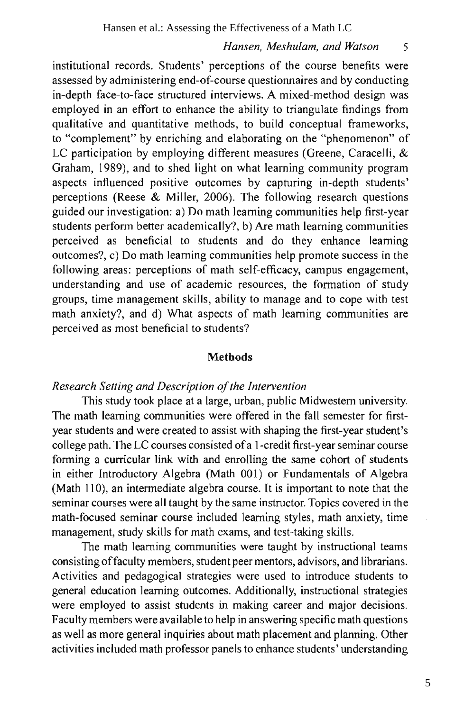$\overline{\mathbf{S}}$ 

institutional records. Students' perceptions of the course benefits were assessed by administering end-of-course questionnaires and by conducting in-depth face-to-face structured interviews. A mixed-method design was employed in an effort to enhance the ability to triangulate findings from qualitative and quantitative methods, to build conceptual frameworks, to "complement" by enriching and elaborating on the "phenomenon" of LC participation by employing different measures (Greene, Caracelli, & Graham, 1989), and to shed light on what learning community program aspects influenced positive outcomes by capturing in-depth students' perceptions (Reese & Miller, 2006). The following research questions guided our investigation: a) Do math learning communities help first-year students perform better academically?, b) Are math learning communities perceived as beneficial to students and do they enhance learning outcomes?, c) Do math learning communities help promote success in the following areas: perceptions of math self-efficacy, campus engagement, understanding and use of academic resources, the formation of study groups, time management skills, ability to manage and to cope with test math anxiety?, and d) What aspects of math learning communities are perceived as most beneficial to students?

#### **Methods**

### Research Setting and Description of the Intervention

This study took place at a large, urban, public Midwestern university. The math learning communities were offered in the fall semester for firstyear students and were created to assist with shaping the first-year student's college path. The LC courses consisted of a 1-credit first-year seminar course forming a curricular link with and enrolling the same cohort of students in either Introductory Algebra (Math 001) or Fundamentals of Algebra (Math 110), an intermediate algebra course. It is important to note that the seminar courses were all taught by the same instructor. Topics covered in the math-focused seminar course included learning styles, math anxiety, time management, study skills for math exams, and test-taking skills.

The math learning communities were taught by instructional teams consisting of faculty members, student peer mentors, advisors, and librarians. Activities and pedagogical strategies were used to introduce students to general education learning outcomes. Additionally, instructional strategies were employed to assist students in making career and major decisions. Faculty members were available to help in answering specific math questions as well as more general inquiries about math placement and planning. Other activities included math professor panels to enhance students' understanding

5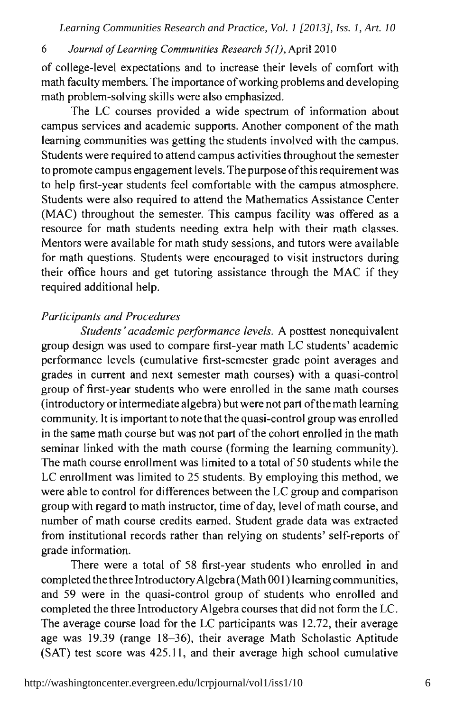#### 6 Journal of Learning Communities Research 5(1), April 2010

of college-level expectations and to increase their levels of comfort with math faculty members. The importance of working problems and developing math problem-solving skills were also emphasized.

The LC courses provided a wide spectrum of information about campus services and academic supports. Another component of the math learning communities was getting the students involved with the campus. Students were required to attend campus activities throughout the semester to promote campus engagement levels. The purpose of this requirement was to help first-year students feel comfortable with the campus atmosphere. Students were also required to attend the Mathematics Assistance Center (MAC) throughout the semester. This campus facility was offered as a resource for math students needing extra help with their math classes. Mentors were available for math study sessions, and tutors were available for math questions. Students were encouraged to visit instructors during their office hours and get tutoring assistance through the MAC if they required additional help.

#### **Participants and Procedures**

Students' academic performance levels. A posttest nonequivalent group design was used to compare first-year math LC students' academic performance levels (cumulative first-semester grade point averages and grades in current and next semester math courses) with a quasi-control group of first-year students who were enrolled in the same math courses (introductory or intermediate algebra) but were not part of the math learning community. It is important to note that the quasi-control group was enrolled in the same math course but was not part of the cohort enrolled in the math seminar linked with the math course (forming the learning community). The math course enrollment was limited to a total of 50 students while the LC enrollment was limited to 25 students. By employing this method, we were able to control for differences between the LC group and comparison group with regard to math instructor, time of day, level of math course, and number of math course credits earned. Student grade data was extracted from institutional records rather than relying on students' self-reports of grade information.

There were a total of 58 first-year students who enrolled in and completed the three Introductory Algebra (Math 001) learning communities, and 59 were in the quasi-control group of students who enrolled and completed the three Introductory Algebra courses that did not form the LC. The average course load for the LC participants was 12.72, their average age was 19.39 (range 18-36), their average Math Scholastic Aptitude (SAT) test score was 425.11, and their average high school cumulative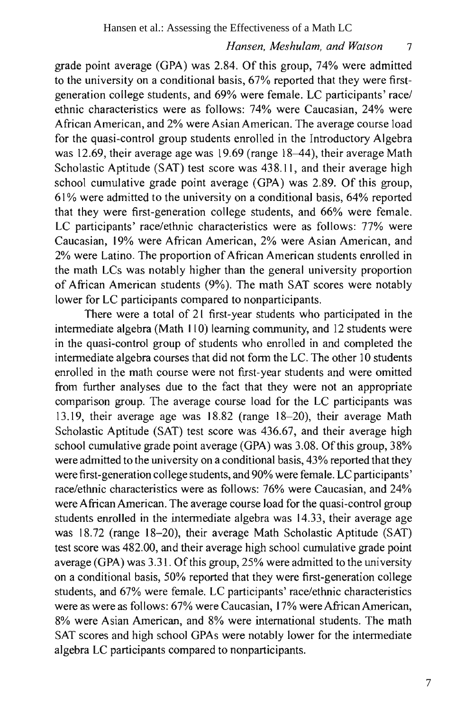$\overline{7}$ 

grade point average (GPA) was 2.84. Of this group, 74% were admitted to the university on a conditional basis, 67% reported that they were firstgeneration college students, and 69% were female. LC participants' race/ ethnic characteristics were as follows: 74% were Caucasian, 24% were African American, and 2% were Asian American. The average course load for the quasi-control group students enrolled in the Introductory Algebra was 12.69, their average age was 19.69 (range  $18-44$ ), their average Math Scholastic Aptitude (SAT) test score was 438.11, and their average high school cumulative grade point average (GPA) was 2.89. Of this group, 61% were admitted to the university on a conditional basis, 64% reported that they were first-generation college students, and 66% were female. LC participants' race/ethnic characteristics were as follows: 77% were Caucasian, 19% were African American, 2% were Asian American, and 2% were Latino. The proportion of African American students enrolled in the math LCs was notably higher than the general university proportion of African American students (9%). The math SAT scores were notably lower for LC participants compared to nonparticipants.

There were a total of 21 first-year students who participated in the intermediate algebra (Math 110) learning community, and 12 students were in the quasi-control group of students who enrolled in and completed the intermediate algebra courses that did not form the LC. The other 10 students enrolled in the math course were not first-year students and were omitted from further analyses due to the fact that they were not an appropriate comparison group. The average course load for the LC participants was 13.19, their average age was 18.82 (range 18-20), their average Math Scholastic Aptitude (SAT) test score was 436.67, and their average high school cumulative grade point average (GPA) was 3.08. Of this group, 38% were admitted to the university on a conditional basis, 43% reported that they were first-generation college students, and 90% were female. LC participants' race/ethnic characteristics were as follows: 76% were Caucasian, and 24% were African American. The average course load for the quasi-control group students enrolled in the intermediate algebra was 14.33, their average age was 18.72 (range 18-20), their average Math Scholastic Aptitude (SAT) test score was 482.00, and their average high school cumulative grade point average (GPA) was 3.31. Of this group, 25% were admitted to the university on a conditional basis, 50% reported that they were first-generation college students, and 67% were female. LC participants' race/ethnic characteristics were as were as follows: 67% were Caucasian, 17% were African American, 8% were Asian American, and 8% were international students. The math SAT scores and high school GPAs were notably lower for the intermediate algebra LC participants compared to nonparticipants.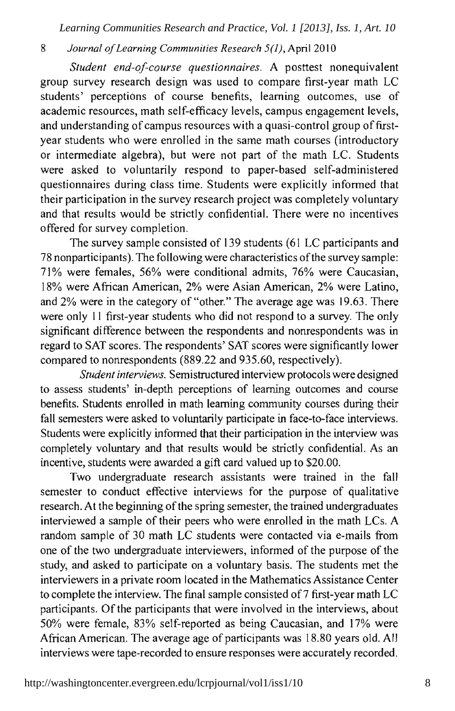#### $\overline{\mathbf{g}}$ Journal of Learning Communities Research 5(1), April 2010

Student end-of-course questionnaires. A posttest nonequivalent group survey research design was used to compare first-year math LC students' perceptions of course benefits, learning outcomes, use of academic resources, math self-efficacy levels, campus engagement levels, and understanding of campus resources with a quasi-control group of firstyear students who were enrolled in the same math courses (introductory or intermediate algebra), but were not part of the math LC. Students were asked to voluntarily respond to paper-based self-administered questionnaires during class time. Students were explicitly informed that their participation in the survey research project was completely voluntary and that results would be strictly confidential. There were no incentives offered for survey completion.

The survey sample consisted of 139 students (61 LC participants and 78 nonparticipants). The following were characteristics of the survey sample: 71% were females, 56% were conditional admits, 76% were Caucasian, 18% were African American, 2% were Asian American, 2% were Latino, and 2% were in the category of "other." The average age was 19.63. There were only 11 first-year students who did not respond to a survey. The only significant difference between the respondents and nonrespondents was in regard to SAT scores. The respondents' SAT scores were significantly lower compared to nonrespondents (889.22 and 935.60, respectively).

Student interviews. Semistructured interview protocols were designed to assess students' in-depth perceptions of learning outcomes and course benefits. Students enrolled in math learning community courses during their fall semesters were asked to voluntarily participate in face-to-face interviews. Students were explicitly informed that their participation in the interview was completely voluntary and that results would be strictly confidential. As an incentive, students were awarded a gift card valued up to \$20.00.

Two undergraduate research assistants were trained in the fall semester to conduct effective interviews for the purpose of qualitative research. At the beginning of the spring semester, the trained undergraduates interviewed a sample of their peers who were enrolled in the math LCs. A random sample of 30 math LC students were contacted via e-mails from one of the two undergraduate interviewers, informed of the purpose of the study, and asked to participate on a voluntary basis. The students met the interviewers in a private room located in the Mathematics Assistance Center to complete the interview. The final sample consisted of 7 first-year math LC participants. Of the participants that were involved in the interviews, about 50% were female, 83% self-reported as being Caucasian, and 17% were African American. The average age of participants was 18.80 years old. All interviews were tape-recorded to ensure responses were accurately recorded.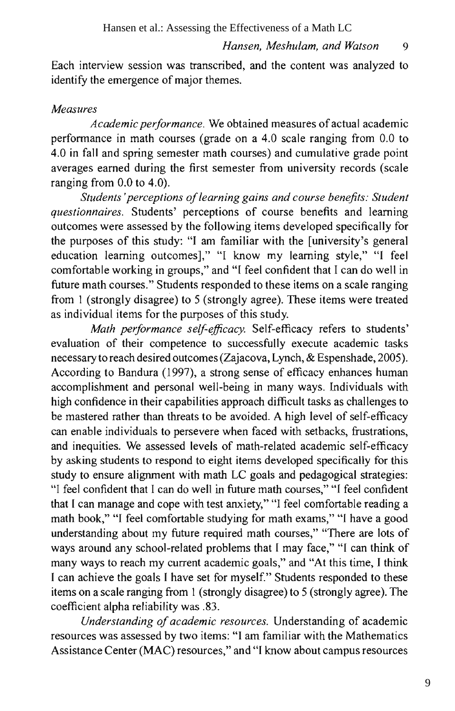9

Each interview session was transcribed, and the content was analyzed to identify the emergence of major themes.

#### **Measures**

Academic performance. We obtained measures of actual academic performance in math courses (grade on a 4.0 scale ranging from 0.0 to 4.0 in fall and spring semester math courses) and cumulative grade point averages earned during the first semester from university records (scale ranging from  $0.0$  to  $4.0$ ).

Students' perceptions of learning gains and course benefits: Student questionnaires. Students' perceptions of course benefits and learning outcomes were assessed by the following items developed specifically for the purposes of this study: "I am familiar with the [university's general education learning outcomes]," "I know my learning style," "I feel comfortable working in groups," and "I feel confident that I can do well in future math courses." Students responded to these items on a scale ranging from 1 (strongly disagree) to 5 (strongly agree). These items were treated as individual items for the purposes of this study.

Math performance self-efficacy. Self-efficacy refers to students' evaluation of their competence to successfully execute academic tasks necessary to reach desired outcomes (Zajacova, Lynch, & Espenshade, 2005). According to Bandura (1997), a strong sense of efficacy enhances human accomplishment and personal well-being in many ways. Individuals with high confidence in their capabilities approach difficult tasks as challenges to be mastered rather than threats to be avoided. A high level of self-efficacy can enable individuals to persevere when faced with setbacks, frustrations, and inequities. We assessed levels of math-related academic self-efficacy by asking students to respond to eight items developed specifically for this study to ensure alignment with math LC goals and pedagogical strategies: "I feel confident that I can do well in future math courses," "I feel confident that I can manage and cope with test anxiety," "I feel comfortable reading a math book," "I feel comfortable studying for math exams," "I have a good understanding about my future required math courses," "There are lots of ways around any school-related problems that I may face," "I can think of many ways to reach my current academic goals," and "At this time, I think I can achieve the goals I have set for myself." Students responded to these items on a scale ranging from 1 (strongly disagree) to 5 (strongly agree). The coefficient alpha reliability was .83.

Understanding of academic resources. Understanding of academic resources was assessed by two items: "I am familiar with the Mathematics Assistance Center (MAC) resources," and "I know about campus resources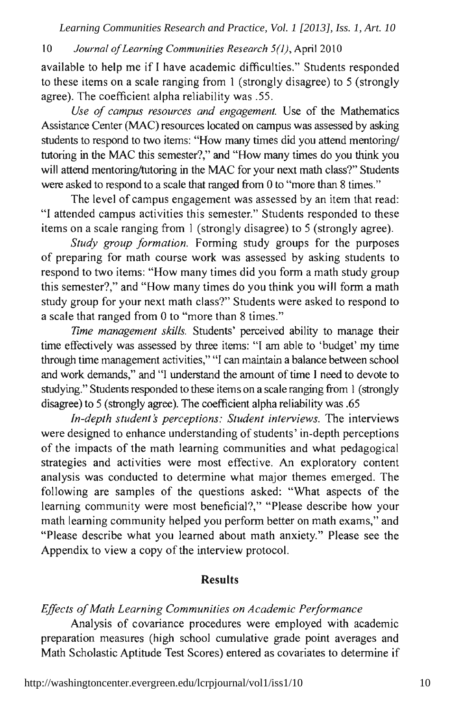#### $10<sup>1</sup>$ Journal of Learning Communities Research 5(1), April 2010

available to help me if I have academic difficulties." Students responded to these items on a scale ranging from 1 (strongly disagree) to 5 (strongly agree). The coefficient alpha reliability was .55.

Use of campus resources and engagement. Use of the Mathematics Assistance Center (MAC) resources located on campus was assessed by asking students to respond to two items: "How many times did you attend mentoring/ tutoring in the MAC this semester?," and "How many times do you think you will attend mentoring/tutoring in the MAC for your next math class?" Students were asked to respond to a scale that ranged from 0 to "more than 8 times."

The level of campus engagement was assessed by an item that read: "I attended campus activities this semester." Students responded to these items on a scale ranging from 1 (strongly disagree) to 5 (strongly agree).

Study group formation. Forming study groups for the purposes of preparing for math course work was assessed by asking students to respond to two items: "How many times did you form a math study group this semester?," and "How many times do you think you will form a math study group for your next math class?" Students were asked to respond to a scale that ranged from 0 to "more than 8 times."

Time management skills. Students' perceived ability to manage their time effectively was assessed by three items: "I am able to 'budget' my time through time management activities," "I can maintain a balance between school and work demands," and "I understand the amount of time I need to devote to studying." Students responded to these items on a scale ranging from 1 (strongly disagree) to 5 (strongly agree). The coefficient alpha reliability was .65

In-depth student's perceptions: Student interviews. The interviews were designed to enhance understanding of students' in-depth perceptions of the impacts of the math learning communities and what pedagogical strategies and activities were most effective. An exploratory content analysis was conducted to determine what major themes emerged. The following are samples of the questions asked: "What aspects of the learning community were most beneficial?," "Please describe how your math learning community helped you perform better on math exams," and "Please describe what you learned about math anxiety." Please see the Appendix to view a copy of the interview protocol.

### **Results**

#### Effects of Math Learning Communities on Academic Performance

Analysis of covariance procedures were employed with academic preparation measures (high school cumulative grade point averages and Math Scholastic Aptitude Test Scores) entered as covariates to determine if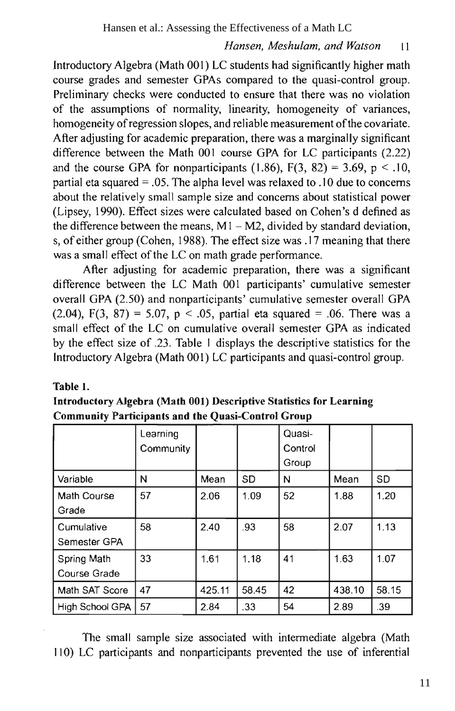#### Hansen, Meshulam, and Watson  $\overline{11}$

Introductory Algebra (Math 001) LC students had significantly higher math course grades and semester GPAs compared to the quasi-control group. Preliminary checks were conducted to ensure that there was no violation of the assumptions of normality, linearity, homogeneity of variances, homogeneity of regression slopes, and reliable measurement of the covariate. After adjusting for academic preparation, there was a marginally significant difference between the Math 001 course GPA for LC participants (2.22) and the course GPA for nonparticipants (1.86),  $F(3, 82) = 3.69$ ,  $p < .10$ , partial eta squared = .05. The alpha level was relaxed to .10 due to concerns about the relatively small sample size and concerns about statistical power (Lipsey, 1990). Effect sizes were calculated based on Cohen's d defined as the difference between the means,  $M1 - M2$ , divided by standard deviation, s, of either group (Cohen, 1988). The effect size was .17 meaning that there was a small effect of the LC on math grade performance.

After adjusting for academic preparation, there was a significant difference between the LC Math 001 participants' cumulative semester overall GPA (2.50) and nonparticipants' cumulative semester overall GPA  $(2.04)$ , F(3, 87) = 5.07, p < .05, partial eta squared = .06. There was a small effect of the LC on cumulative overall semester GPA as indicated by the effect size of .23. Table 1 displays the descriptive statistics for the Introductory Algebra (Math 001) LC participants and quasi-control group.

#### Table 1.

| Introductory Algebra (Math 001) Descriptive Statistics for Learning |  |
|---------------------------------------------------------------------|--|
| <b>Community Participants and the Quasi-Control Group</b>           |  |

|                             | Learning<br>Community |        |           | Quasi-<br>Control<br>Group |        |           |
|-----------------------------|-----------------------|--------|-----------|----------------------------|--------|-----------|
| Variable                    | N                     | Mean   | <b>SD</b> | N                          | Mean   | <b>SD</b> |
| Math Course<br>Grade        | 57                    | 2.06   | 1.09      | 52                         | 1.88   | 1.20      |
| Cumulative<br>Semester GPA  | 58                    | 2.40   | .93       | 58                         | 2.07   | 1.13      |
| Spring Math<br>Course Grade | 33                    | 1.61   | 1.18      | 41                         | 1.63   | 1.07      |
| Math SAT Score              | 47                    | 425.11 | 58.45     | 42                         | 438.10 | 58.15     |
| High School GPA             | 57                    | 2.84   | .33       | 54                         | 2.89   | .39       |

The small sample size associated with intermediate algebra (Math 110) LC participants and nonparticipants prevented the use of inferential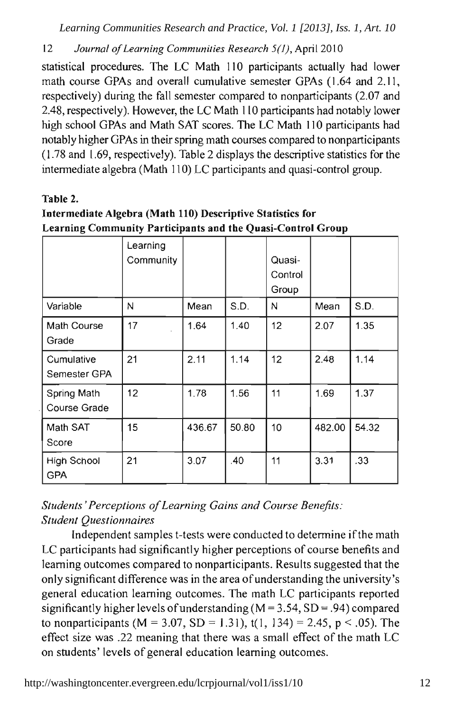12 Journal of Learning Communities Research 5(1), April 2010

statistical procedures. The LC Math 110 participants actually had lower math course GPAs and overall cumulative semester GPAs (1.64 and 2.11, respectively) during the fall semester compared to nonparticipants (2.07 and 2.48, respectively). However, the LC Math 110 participants had notably lower high school GPAs and Math SAT scores. The LC Math 110 participants had notably higher GPAs in their spring math courses compared to nonparticipants (1.78 and 1.69, respectively). Table 2 displays the descriptive statistics for the intermediate algebra (Math 110) LC participants and quasi-control group.

### Table 2.

### Intermediate Algebra (Math 110) Descriptive Statistics for Learning Community Participants and the Quasi-Control Group

|                                    | Learning<br>Community |        |       | Quasi-<br>Control<br>Group |        |       |
|------------------------------------|-----------------------|--------|-------|----------------------------|--------|-------|
| Variable                           | N                     | Mean   | S.D.  | N                          | Mean   | S.D.  |
| Math Course<br>Grade               | 17                    | 1.64   | 1.40  | 12 <sup>2</sup>            | 2.07   | 1.35  |
| Cumulative<br>Semester GPA         | 21                    | 2.11   | 1.14  | 12 <sup>2</sup>            | 2.48   | 1.14  |
| Spring Math<br><b>Course Grade</b> | 12 <sup>2</sup>       | 1.78   | 1.56  | 11                         | 1.69   | 1.37  |
| Math SAT<br>Score                  | 15                    | 436.67 | 50.80 | 10                         | 482.00 | 54.32 |
| High School<br><b>GPA</b>          | 21                    | 3.07   | .40   | 11                         | 3.31   | .33   |

Students' Perceptions of Learning Gains and Course Benefits: **Student Questionnaires** 

Independent samples t-tests were conducted to determine if the math LC participants had significantly higher perceptions of course benefits and learning outcomes compared to nonparticipants. Results suggested that the only significant difference was in the area of understanding the university's general education learning outcomes. The math LC participants reported significantly higher levels of understanding ( $M = 3.54$ ,  $SD = .94$ ) compared to nonparticipants (M = 3.07, SD = 1.31), t(1, 134) = 2.45, p < .05). The effect size was .22 meaning that there was a small effect of the math LC on students' levels of general education learning outcomes.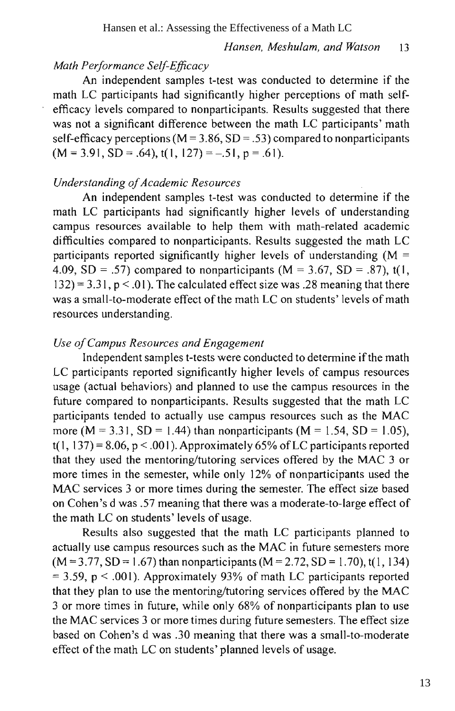#### Hansen et al.: Assessing the Effectiveness of a Math LC

#### Hansen, Meshulam, and Watson  $13$

### Math Performance Self-Efficacy

An independent samples t-test was conducted to determine if the math LC participants had significantly higher perceptions of math selfefficacy levels compared to nonparticipants. Results suggested that there was not a significant difference between the math LC participants' math self-efficacy perceptions ( $M = 3.86$ , SD = .53) compared to nonparticipants  $(M = 3.91, SD = .64)$ ,  $t(1, 127) = -.51$ ,  $p = .61$ .

### **Understanding of Academic Resources**

An independent samples t-test was conducted to determine if the math LC participants had significantly higher levels of understanding campus resources available to help them with math-related academic difficulties compared to nonparticipants. Results suggested the math LC participants reported significantly higher levels of understanding  $(M =$ 4.09, SD = .57) compared to nonparticipants ( $M = 3.67$ , SD = .87), t(1,  $(32) = 3.31$ ,  $p < .01$ ). The calculated effect size was .28 meaning that there was a small-to-moderate effect of the math LC on students' levels of math resources understanding.

#### Use of Campus Resources and Engagement

Independent samples t-tests were conducted to determine if the math LC participants reported significantly higher levels of campus resources usage (actual behaviors) and planned to use the campus resources in the future compared to nonparticipants. Results suggested that the math LC participants tended to actually use campus resources such as the MAC more (M = 3.31, SD = 1.44) than nonparticipants (M = 1.54, SD = 1.05),  $t(1, 137) = 8.06$ ,  $p < .001$ ). Approximately 65% of LC participants reported that they used the mentoring/tutoring services offered by the MAC 3 or more times in the semester, while only 12% of nonparticipants used the MAC services 3 or more times during the semester. The effect size based on Cohen's d was .57 meaning that there was a moderate-to-large effect of the math LC on students' levels of usage.

Results also suggested that the math LC participants planned to actually use campus resources such as the MAC in future semesters more  $(M = 3.77, SD = 1.67)$  than nonparticipants  $(M = 2.72, SD = 1.70)$ , t(1, 134)  $=$  3.59, p < .001). Approximately 93% of math LC participants reported that they plan to use the mentoring/tutoring services offered by the MAC 3 or more times in future, while only 68% of nonparticipants plan to use the MAC services 3 or more times during future semesters. The effect size based on Cohen's d was .30 meaning that there was a small-to-moderate effect of the math LC on students' planned levels of usage.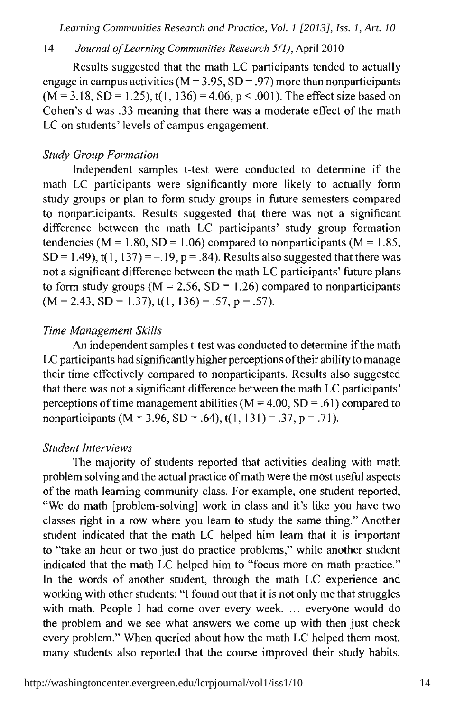#### $14$ Journal of Learning Communities Research 5(1), April 2010

Results suggested that the math LC participants tended to actually engage in campus activities ( $M = 3.95$ , SD = .97) more than nonparticipants  $(M = 3.18, SD = 1.25)$ , t(1, 136) = 4.06, p < .001). The effect size based on Cohen's d was .33 meaning that there was a moderate effect of the math LC on students' levels of campus engagement.

#### **Study Group Formation**

Independent samples t-test were conducted to determine if the math LC participants were significantly more likely to actually form study groups or plan to form study groups in future semesters compared to nonparticipants. Results suggested that there was not a significant difference between the math LC participants' study group formation tendencies ( $M = 1.80$ ,  $SD = 1.06$ ) compared to nonparticipants ( $M = 1.85$ ,  $SD = 1.49$ , t(1, 137) = -.19, p = .84). Results also suggested that there was not a significant difference between the math LC participants' future plans to form study groups ( $M = 2.56$ , SD = 1.26) compared to nonparticipants  $(M = 2.43, SD = 1.37), t(1, 136) = .57, p = .57).$ 

#### Time Management Skills

An independent samples t-test was conducted to determine if the math LC participants had significantly higher perceptions of their ability to manage their time effectively compared to nonparticipants. Results also suggested that there was not a significant difference between the math LC participants' perceptions of time management abilities ( $M = 4.00$ , SD = .61) compared to nonparticipants (M = 3.96, SD = .64), t(1, 131) = .37, p = .71).

#### **Student Interviews**

The majority of students reported that activities dealing with math problem solving and the actual practice of math were the most useful aspects of the math learning community class. For example, one student reported, "We do math [problem-solving] work in class and it's like you have two classes right in a row where you learn to study the same thing." Another student indicated that the math LC helped him learn that it is important to "take an hour or two just do practice problems," while another student indicated that the math LC helped him to "focus more on math practice." In the words of another student, through the math LC experience and working with other students: "I found out that it is not only me that struggles with math. People I had come over every week. ... everyone would do the problem and we see what answers we come up with then just check every problem." When queried about how the math LC helped them most, many students also reported that the course improved their study habits.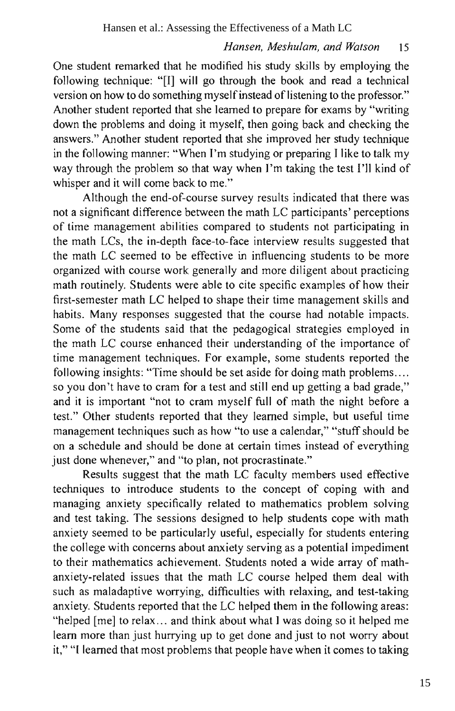One student remarked that he modified his study skills by employing the following technique: "[I] will go through the book and read a technical version on how to do something myself instead of listening to the professor." Another student reported that she learned to prepare for exams by "writing" down the problems and doing it myself, then going back and checking the answers." Another student reported that she improved her study technique in the following manner: "When I'm studying or preparing I like to talk my way through the problem so that way when I'm taking the test I'll kind of whisper and it will come back to me."

Although the end-of-course survey results indicated that there was not a significant difference between the math LC participants' perceptions of time management abilities compared to students not participating in the math LCs, the in-depth face-to-face interview results suggested that the math LC seemed to be effective in influencing students to be more organized with course work generally and more diligent about practicing math routinely. Students were able to cite specific examples of how their first-semester math LC helped to shape their time management skills and habits. Many responses suggested that the course had notable impacts. Some of the students said that the pedagogical strategies employed in the math LC course enhanced their understanding of the importance of time management techniques. For example, some students reported the following insights: "Time should be set aside for doing math problems.... so you don't have to cram for a test and still end up getting a bad grade," and it is important "not to cram myself full of math the night before a test." Other students reported that they learned simple, but useful time management techniques such as how "to use a calendar," "stuff should be on a schedule and should be done at certain times instead of everything just done whenever," and "to plan, not procrastinate."

Results suggest that the math LC faculty members used effective techniques to introduce students to the concept of coping with and managing anxiety specifically related to mathematics problem solving and test taking. The sessions designed to help students cope with math anxiety seemed to be particularly useful, especially for students entering the college with concerns about anxiety serving as a potential impediment to their mathematics achievement. Students noted a wide array of mathanxiety-related issues that the math LC course helped them deal with such as maladaptive worrying, difficulties with relaxing, and test-taking anxiety. Students reported that the LC helped them in the following areas: "helped [me] to relax... and think about what I was doing so it helped me learn more than just hurrying up to get done and just to not worry about it," "I learned that most problems that people have when it comes to taking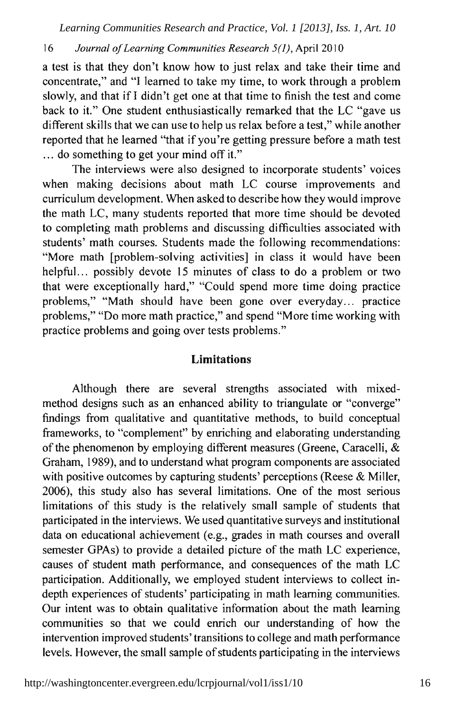#### 16 Journal of Learning Communities Research 5(1), April 2010

a test is that they don't know how to just relax and take their time and concentrate," and "I learned to take my time, to work through a problem slowly, and that if I didn't get one at that time to finish the test and come back to it." One student enthusiastically remarked that the LC "gave us different skills that we can use to help us relax before a test," while another reported that he learned "that if you're getting pressure before a math test ... do something to get your mind off it."

The interviews were also designed to incorporate students' voices when making decisions about math LC course improvements and curriculum development. When asked to describe how they would improve the math LC, many students reported that more time should be devoted to completing math problems and discussing difficulties associated with students' math courses. Students made the following recommendations: "More math [problem-solving activities] in class it would have been helpful... possibly devote 15 minutes of class to do a problem or two that were exceptionally hard," "Could spend more time doing practice problems," "Math should have been gone over everyday... practice problems," "Do more math practice," and spend "More time working with practice problems and going over tests problems."

### **Limitations**

Although there are several strengths associated with mixedmethod designs such as an enhanced ability to triangulate or "converge" findings from qualitative and quantitative methods, to build conceptual frameworks, to "complement" by enriching and elaborating understanding of the phenomenon by employing different measures (Greene, Caracelli, & Graham, 1989), and to understand what program components are associated with positive outcomes by capturing students' perceptions (Reese & Miller, 2006), this study also has several limitations. One of the most serious limitations of this study is the relatively small sample of students that participated in the interviews. We used quantitative surveys and institutional data on educational achievement (e.g., grades in math courses and overall semester GPAs) to provide a detailed picture of the math LC experience, causes of student math performance, and consequences of the math LC participation. Additionally, we employed student interviews to collect indepth experiences of students' participating in math learning communities. Our intent was to obtain qualitative information about the math learning communities so that we could enrich our understanding of how the intervention improved students' transitions to college and math performance levels. However, the small sample of students participating in the interviews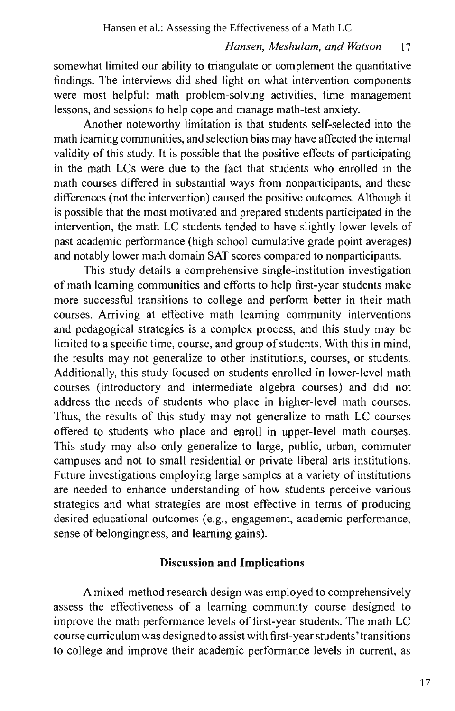somewhat limited our ability to triangulate or complement the quantitative findings. The interviews did shed light on what intervention components were most helpful: math problem-solving activities, time management lessons, and sessions to help cope and manage math-test anxiety.

Another noteworthy limitation is that students self-selected into the math learning communities, and selection bias may have affected the internal validity of this study. It is possible that the positive effects of participating in the math LCs were due to the fact that students who enrolled in the math courses differed in substantial ways from nonparticipants, and these differences (not the intervention) caused the positive outcomes. Although it is possible that the most motivated and prepared students participated in the intervention, the math LC students tended to have slightly lower levels of past academic performance (high school cumulative grade point averages) and notably lower math domain SAT scores compared to nonparticipants.

This study details a comprehensive single-institution investigation of math learning communities and efforts to help first-year students make more successful transitions to college and perform better in their math courses. Arriving at effective math learning community interventions and pedagogical strategies is a complex process, and this study may be limited to a specific time, course, and group of students. With this in mind, the results may not generalize to other institutions, courses, or students. Additionally, this study focused on students enrolled in lower-level math courses (introductory and intermediate algebra courses) and did not address the needs of students who place in higher-level math courses. Thus, the results of this study may not generalize to math LC courses offered to students who place and enroll in upper-level math courses. This study may also only generalize to large, public, urban, commuter campuses and not to small residential or private liberal arts institutions. Future investigations employing large samples at a variety of institutions are needed to enhance understanding of how students perceive various strategies and what strategies are most effective in terms of producing desired educational outcomes (e.g., engagement, academic performance, sense of belongingness, and learning gains).

### **Discussion and Implications**

A mixed-method research design was employed to comprehensively assess the effectiveness of a learning community course designed to improve the math performance levels of first-year students. The math LC course curriculum was designed to assist with first-year students' transitions to college and improve their academic performance levels in current, as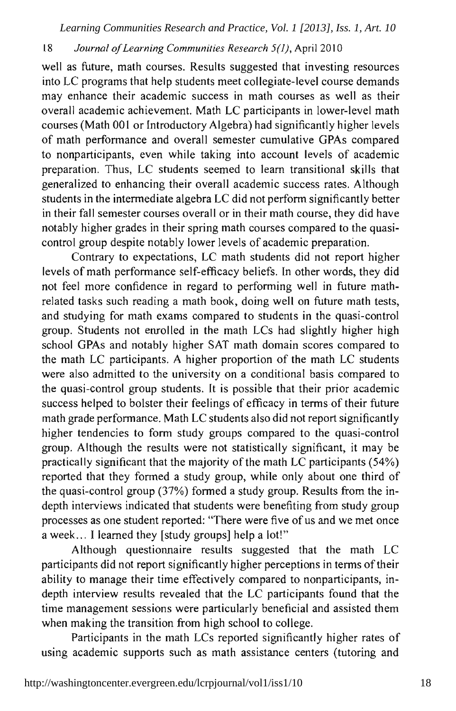#### 18 Journal of Learning Communities Research 5(1), April 2010

well as future, math courses. Results suggested that investing resources into LC programs that help students meet collegiate-level course demands may enhance their academic success in math courses as well as their overall academic achievement. Math LC participants in lower-level math courses (Math 001 or Introductory Algebra) had significantly higher levels of math performance and overall semester cumulative GPAs compared to nonparticipants, even while taking into account levels of academic preparation. Thus, LC students seemed to learn transitional skills that generalized to enhancing their overall academic success rates. Although students in the intermediate algebra LC did not perform significantly better in their fall semester courses overall or in their math course, they did have notably higher grades in their spring math courses compared to the quasicontrol group despite notably lower levels of academic preparation.

Contrary to expectations, LC math students did not report higher levels of math performance self-efficacy beliefs. In other words, they did not feel more confidence in regard to performing well in future mathrelated tasks such reading a math book, doing well on future math tests, and studying for math exams compared to students in the quasi-control group. Students not enrolled in the math LCs had slightly higher high school GPAs and notably higher SAT math domain scores compared to the math LC participants. A higher proportion of the math LC students were also admitted to the university on a conditional basis compared to the quasi-control group students. It is possible that their prior academic success helped to bolster their feelings of efficacy in terms of their future math grade performance. Math LC students also did not report significantly higher tendencies to form study groups compared to the quasi-control group. Although the results were not statistically significant, it may be practically significant that the majority of the math LC participants (54%) reported that they formed a study group, while only about one third of the quasi-control group (37%) formed a study group. Results from the indepth interviews indicated that students were benefiting from study group processes as one student reported: "There were five of us and we met once a week... I learned they [study groups] help a lot!"

Although questionnaire results suggested that the math LC participants did not report significantly higher perceptions in terms of their ability to manage their time effectively compared to nonparticipants, indepth interview results revealed that the LC participants found that the time management sessions were particularly beneficial and assisted them when making the transition from high school to college.

Participants in the math LCs reported significantly higher rates of using academic supports such as math assistance centers (tutoring and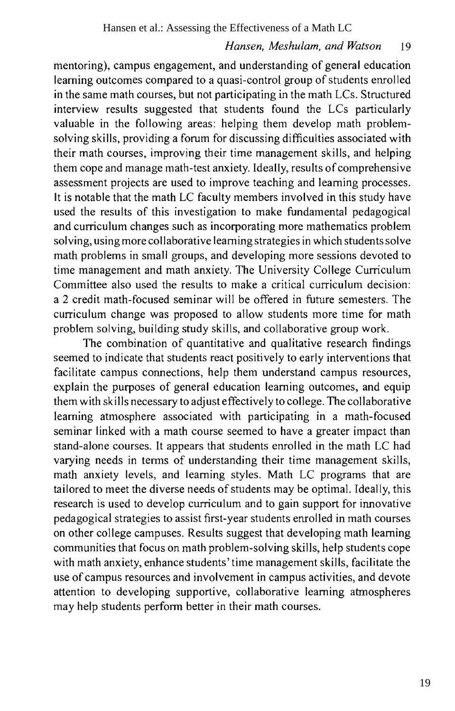mentoring), campus engagement, and understanding of general education learning outcomes compared to a quasi-control group of students enrolled in the same math courses, but not participating in the math LCs. Structured interview results suggested that students found the LCs particularly valuable in the following areas: helping them develop math problemsolving skills, providing a forum for discussing difficulties associated with their math courses, improving their time management skills, and helping them cope and manage math-test anxiety. Ideally, results of comprehensive assessment projects are used to improve teaching and learning processes. It is notable that the math LC faculty members involved in this study have used the results of this investigation to make fundamental pedagogical and curriculum changes such as incorporating more mathematics problem solving, using more collaborative learning strategies in which students solve math problems in small groups, and developing more sessions devoted to time management and math anxiety. The University College Curriculum Committee also used the results to make a critical curriculum decision: a 2 credit math-focused seminar will be offered in future semesters. The curriculum change was proposed to allow students more time for math problem solving, building study skills, and collaborative group work.

The combination of quantitative and qualitative research findings seemed to indicate that students react positively to early interventions that facilitate campus connections, help them understand campus resources, explain the purposes of general education learning outcomes, and equip them with skills necessary to adjust effectively to college. The collaborative learning atmosphere associated with participating in a math-focused seminar linked with a math course seemed to have a greater impact than stand-alone courses. It appears that students enrolled in the math LC had varying needs in terms of understanding their time management skills, math anxiety levels, and learning styles. Math LC programs that are tailored to meet the diverse needs of students may be optimal. Ideally, this research is used to develop curriculum and to gain support for innovative pedagogical strategies to assist first-year students enrolled in math courses on other college campuses. Results suggest that developing math learning communities that focus on math problem-solving skills, help students cope with math anxiety, enhance students' time management skills, facilitate the use of campus resources and involvement in campus activities, and devote attention to developing supportive, collaborative learning atmospheres may help students perform better in their math courses.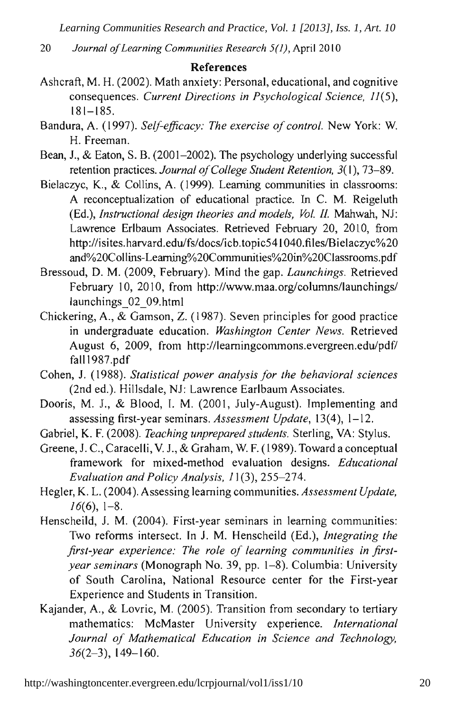20 Journal of Learning Communities Research 5(1), April 2010

#### **References**

- Ashcraft, M. H. (2002). Math anxiety: Personal, educational, and cognitive consequences. Current Directions in Psychological Science, 11(5),  $181 - 185.$
- Bandura, A. (1997). Self-efficacy: The exercise of control. New York: W. H. Freeman.
- Bean, J., & Eaton, S. B. (2001–2002). The psychology underlying successful retention practices. Journal of College Student Retention, 3(1), 73–89.
- Bielaczyc, K., & Collins, A. (1999). Learning communities in classrooms: A reconceptualization of educational practice. In C. M. Reigeluth (Ed.), *Instructional design theories and models, Vol. II.* Mahwah, NJ: Lawrence Erlbaum Associates. Retrieved February 20, 2010, from http://isites.harvard.edu/fs/docs/icb.topic541040.files/Bielaczyc%20 and%20Collins-Learning%20Communities%20in%20Classrooms.pdf
- Bressoud, D. M. (2009, February). Mind the gap. Launchings. Retrieved February 10, 2010, from http://www.maa.org/columns/launchings/ launchings 02 09.html
- Chickering, A., & Gamson, Z. (1987). Seven principles for good practice in undergraduate education. Washington Center News. Retrieved August 6, 2009, from http://learningcommons.evergreen.edu/pdf/ fall1987.pdf
- Cohen, J. (1988). Statistical power analysis for the behavioral sciences (2nd ed.). Hillsdale, NJ: Lawrence Earlbaum Associates.
- Dooris, M. J., & Blood, I. M. (2001, July-August). Implementing and assessing first-year seminars. Assessment Update, 13(4), 1-12.
- Gabriel, K. F. (2008). Teaching unprepared students. Sterling, VA: Stylus.
- Greene, J. C., Caracelli, V. J., & Graham, W. F. (1989). Toward a conceptual framework for mixed-method evaluation designs. Educational Evaluation and Policy Analysis, 11(3), 255-274.
- Hegler, K. L. (2004). Assessing learning communities. Assessment Update,  $16(6)$ , 1-8.
- Henscheild, J. M. (2004). First-year seminars in learning communities: Two reforms intersect. In J. M. Henscheild (Ed.), Integrating the first-year experience: The role of learning communities in firstyear seminars (Monograph No. 39, pp. 1-8). Columbia: University of South Carolina, National Resource center for the First-year Experience and Students in Transition.
- Kajander, A., & Lovric, M. (2005). Transition from secondary to tertiary mathematics: McMaster University experience. International Journal of Mathematical Education in Science and Technology,  $36(2-3)$ , 149-160.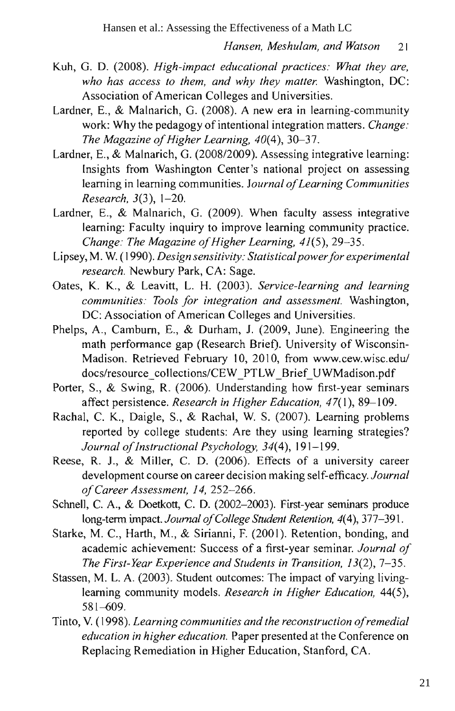- Kuh, G. D. (2008). High-impact educational practices: What they are, who has access to them, and why they matter. Washington, DC: Association of American Colleges and Universities.
- Lardner, E., & Malnarich, G. (2008). A new era in learning-community work: Why the pedagogy of intentional integration matters. Change: The Magazine of Higher Learning, 40(4), 30-37.
- Lardner, E., & Malnarich, G. (2008/2009). Assessing integrative learning: Insights from Washington Center's national project on assessing learning in learning communities. Journal of Learning Communities Research, 3(3), 1-20.
- Lardner, E., & Malnarich, G. (2009). When faculty assess integrative learning: Faculty inquiry to improve learning community practice. Change: The Magazine of Higher Learning, 41(5), 29-35.
- Lipsey, M. W. (1990). Design sensitivity: Statistical power for experimental research. Newbury Park, CA: Sage.
- Oates, K. K., & Leavitt, L. H. (2003). Service-learning and learning communities: Tools for integration and assessment. Washington, DC: Association of American Colleges and Universities.
- Phelps, A., Camburn, E., & Durham, J. (2009, June). Engineering the math performance gap (Research Brief). University of Wisconsin-Madison. Retrieved February 10, 2010, from www.cew.wisc.edu/ docs/resource\_collections/CEW\_PTLW\_Brief\_UWMadison.pdf
- Porter, S., & Swing, R. (2006). Understanding how first-year seminars affect persistence. Research in Higher Education, 47(1), 89-109.
- Rachal, C. K., Daigle, S., & Rachal, W. S. (2007). Learning problems reported by college students: Are they using learning strategies? Journal of Instructional Psychology, 34(4), 191-199.
- Reese, R. J., & Miller, C. D. (2006). Effects of a university career development course on career decision making self-efficacy. Journal of Career Assessment, 14, 252-266.
- Schnell, C. A., & Doetkott, C. D. (2002-2003). First-year seminars produce long-term impact. Journal of College Student Retention, 4(4), 377-391.
- Starke, M. C., Harth, M., & Sirianni, F. (2001). Retention, bonding, and academic achievement: Success of a first-year seminar. Journal of The First-Year Experience and Students in Transition, 13(2), 7-35.
- Stassen, M. L. A. (2003). Student outcomes: The impact of varying livinglearning community models. Research in Higher Education, 44(5),  $581 - 609.$
- Tinto, V. (1998). Learning communities and the reconstruction of remedial education in higher education. Paper presented at the Conference on Replacing Remediation in Higher Education, Stanford, CA.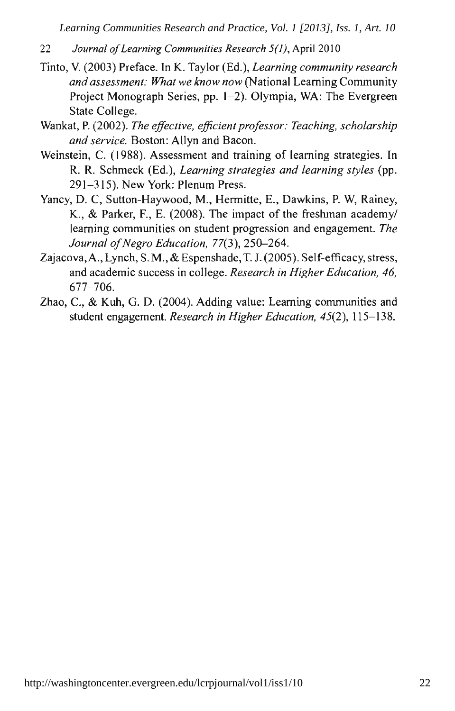- Journal of Learning Communities Research 5(1), April 2010 22
- Tinto, V. (2003) Preface. In K. Taylor (Ed.), Learning community research and assessment: What we know now (National Learning Community Project Monograph Series, pp. 1-2). Olympia, WA: The Evergreen State College.
- Wankat, P. (2002). The effective, efficient professor: Teaching, scholarship and service. Boston: Allyn and Bacon.
- Weinstein, C. (1988). Assessment and training of learning strategies. In R. R. Schmeck (Ed.), Learning strategies and learning styles (pp. 291-315). New York: Plenum Press.
- Yancy, D. C, Sutton-Haywood, M., Hermitte, E., Dawkins, P. W, Rainey, K., & Parker, F., E. (2008). The impact of the freshman academy/ learning communities on student progression and engagement. The Journal of Negro Education, 77(3), 250-264.
- Zajacova, A., Lynch, S. M., & Espenshade, T. J. (2005). Self-efficacy, stress, and academic success in college. Research in Higher Education, 46,  $677 - 706.$
- Zhao, C., & Kuh, G. D. (2004). Adding value: Learning communities and student engagement. Research in Higher Education, 45(2), 115-138.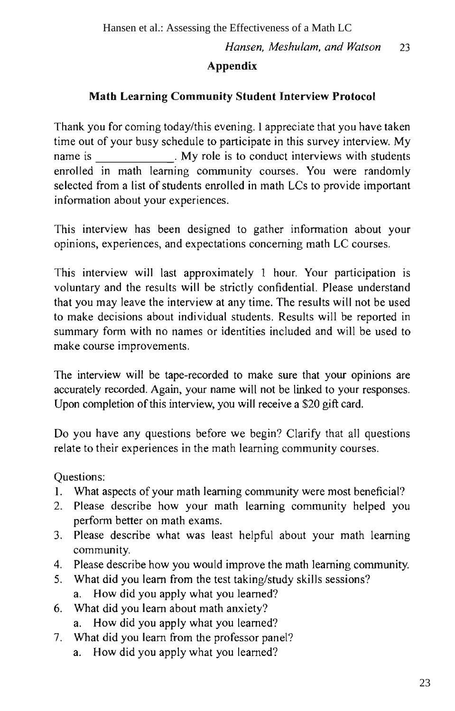### **Appendix**

### **Math Learning Community Student Interview Protocol**

Thank you for coming today/this evening. I appreciate that you have taken time out of your busy schedule to participate in this survey interview. My . My role is to conduct interviews with students name is enrolled in math learning community courses. You were randomly selected from a list of students enrolled in math LCs to provide important information about your experiences.

This interview has been designed to gather information about your opinions, experiences, and expectations concerning math LC courses.

This interview will last approximately 1 hour. Your participation is voluntary and the results will be strictly confidential. Please understand that you may leave the interview at any time. The results will not be used to make decisions about individual students. Results will be reported in summary form with no names or identities included and will be used to make course improvements.

The interview will be tape-recorded to make sure that your opinions are accurately recorded. Again, your name will not be linked to your responses. Upon completion of this interview, you will receive a \$20 gift card.

Do you have any questions before we begin? Clarify that all questions relate to their experiences in the math learning community courses.

Questions:

- What aspects of your math learning community were most beneficial?  $\mathbf{L}$
- Please describe how your math learning community helped you 2. perform better on math exams.
- $3.$ Please describe what was least helpful about your math learning community.
- 4. Please describe how you would improve the math learning community.
- What did you learn from the test taking/study skills sessions? 5.
	- How did you apply what you learned? a.
- 6. What did you learn about math anxiety?
	- How did you apply what you learned? a.
- 7. What did you learn from the professor panel?
	- How did you apply what you learned? a.